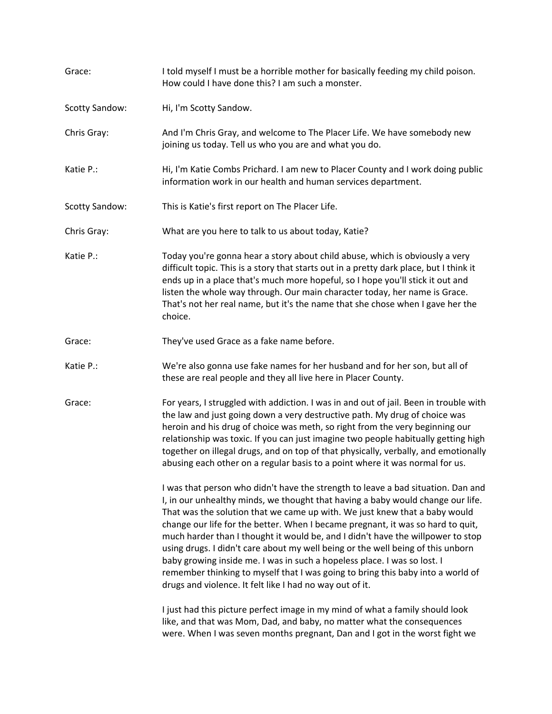| Grace:                | I told myself I must be a horrible mother for basically feeding my child poison.<br>How could I have done this? I am such a monster.                                                                                                                                                                                                                                                                                                                                                                                                                                                                                                                                                                                                  |
|-----------------------|---------------------------------------------------------------------------------------------------------------------------------------------------------------------------------------------------------------------------------------------------------------------------------------------------------------------------------------------------------------------------------------------------------------------------------------------------------------------------------------------------------------------------------------------------------------------------------------------------------------------------------------------------------------------------------------------------------------------------------------|
| <b>Scotty Sandow:</b> | Hi, I'm Scotty Sandow.                                                                                                                                                                                                                                                                                                                                                                                                                                                                                                                                                                                                                                                                                                                |
| Chris Gray:           | And I'm Chris Gray, and welcome to The Placer Life. We have somebody new<br>joining us today. Tell us who you are and what you do.                                                                                                                                                                                                                                                                                                                                                                                                                                                                                                                                                                                                    |
| Katie P.:             | Hi, I'm Katie Combs Prichard. I am new to Placer County and I work doing public<br>information work in our health and human services department.                                                                                                                                                                                                                                                                                                                                                                                                                                                                                                                                                                                      |
| Scotty Sandow:        | This is Katie's first report on The Placer Life.                                                                                                                                                                                                                                                                                                                                                                                                                                                                                                                                                                                                                                                                                      |
| Chris Gray:           | What are you here to talk to us about today, Katie?                                                                                                                                                                                                                                                                                                                                                                                                                                                                                                                                                                                                                                                                                   |
| Katie P.:             | Today you're gonna hear a story about child abuse, which is obviously a very<br>difficult topic. This is a story that starts out in a pretty dark place, but I think it<br>ends up in a place that's much more hopeful, so I hope you'll stick it out and<br>listen the whole way through. Our main character today, her name is Grace.<br>That's not her real name, but it's the name that she chose when I gave her the<br>choice.                                                                                                                                                                                                                                                                                                  |
| Grace:                | They've used Grace as a fake name before.                                                                                                                                                                                                                                                                                                                                                                                                                                                                                                                                                                                                                                                                                             |
| Katie P.:             | We're also gonna use fake names for her husband and for her son, but all of<br>these are real people and they all live here in Placer County.                                                                                                                                                                                                                                                                                                                                                                                                                                                                                                                                                                                         |
| Grace:                | For years, I struggled with addiction. I was in and out of jail. Been in trouble with<br>the law and just going down a very destructive path. My drug of choice was<br>heroin and his drug of choice was meth, so right from the very beginning our<br>relationship was toxic. If you can just imagine two people habitually getting high<br>together on illegal drugs, and on top of that physically, verbally, and emotionally<br>abusing each other on a regular basis to a point where it was normal for us.                                                                                                                                                                                                                      |
|                       | I was that person who didn't have the strength to leave a bad situation. Dan and<br>I, in our unhealthy minds, we thought that having a baby would change our life.<br>That was the solution that we came up with. We just knew that a baby would<br>change our life for the better. When I became pregnant, it was so hard to quit,<br>much harder than I thought it would be, and I didn't have the willpower to stop<br>using drugs. I didn't care about my well being or the well being of this unborn<br>baby growing inside me. I was in such a hopeless place. I was so lost. I<br>remember thinking to myself that I was going to bring this baby into a world of<br>drugs and violence. It felt like I had no way out of it. |
|                       | I just had this picture perfect image in my mind of what a family should look<br>like, and that was Mom, Dad, and baby, no matter what the consequences<br>were. When I was seven months pregnant, Dan and I got in the worst fight we                                                                                                                                                                                                                                                                                                                                                                                                                                                                                                |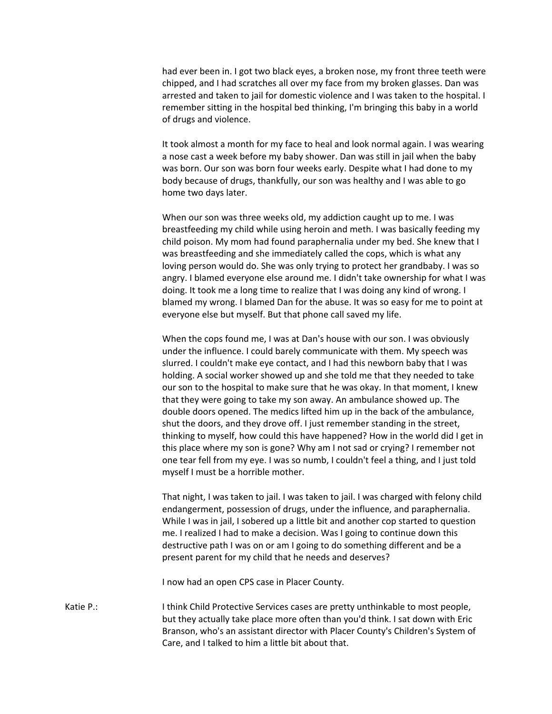had ever been in. I got two black eyes, a broken nose, my front three teeth were chipped, and I had scratches all over my face from my broken glasses. Dan was arrested and taken to jail for domestic violence and I was taken to the hospital. I remember sitting in the hospital bed thinking, I'm bringing this baby in a world of drugs and violence.

It took almost a month for my face to heal and look normal again. I was wearing a nose cast a week before my baby shower. Dan was still in jail when the baby was born. Our son was born four weeks early. Despite what I had done to my body because of drugs, thankfully, our son was healthy and I was able to go home two days later.

When our son was three weeks old, my addiction caught up to me. I was breastfeeding my child while using heroin and meth. I was basically feeding my child poison. My mom had found paraphernalia under my bed. She knew that I was breastfeeding and she immediately called the cops, which is what any loving person would do. She was only trying to protect her grandbaby. I was so angry. I blamed everyone else around me. I didn't take ownership for what I was doing. It took me a long time to realize that I was doing any kind of wrong. I blamed my wrong. I blamed Dan for the abuse. It was so easy for me to point at everyone else but myself. But that phone call saved my life.

When the cops found me, I was at Dan's house with our son. I was obviously under the influence. I could barely communicate with them. My speech was slurred. I couldn't make eye contact, and I had this newborn baby that I was holding. A social worker showed up and she told me that they needed to take our son to the hospital to make sure that he was okay. In that moment, I knew that they were going to take my son away. An ambulance showed up. The double doors opened. The medics lifted him up in the back of the ambulance, shut the doors, and they drove off. I just remember standing in the street, thinking to myself, how could this have happened? How in the world did I get in this place where my son is gone? Why am I not sad or crying? I remember not one tear fell from my eye. I was so numb, I couldn't feel a thing, and I just told myself I must be a horrible mother.

That night, I was taken to jail. I was taken to jail. I was charged with felony child endangerment, possession of drugs, under the influence, and paraphernalia. While I was in jail, I sobered up a little bit and another cop started to question me. I realized I had to make a decision. Was I going to continue down this destructive path I was on or am I going to do something different and be a present parent for my child that he needs and deserves?

I now had an open CPS case in Placer County.

Katie P.: I think Child Protective Services cases are pretty unthinkable to most people, but they actually take place more often than you'd think. I sat down with Eric Branson, who's an assistant director with Placer County's Children's System of Care, and I talked to him a little bit about that.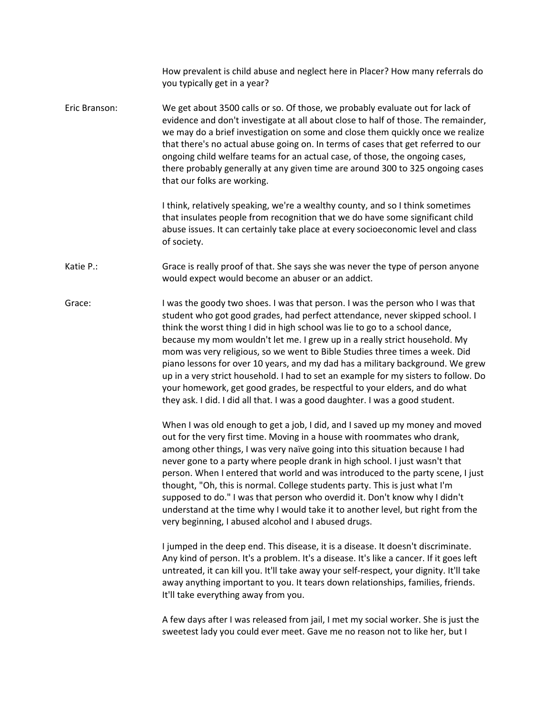How prevalent is child abuse and neglect here in Placer? How many referrals do you typically get in a year? Eric Branson: We get about 3500 calls or so. Of those, we probably evaluate out for lack of evidence and don't investigate at all about close to half of those. The remainder, we may do a brief investigation on some and close them quickly once we realize that there's no actual abuse going on. In terms of cases that get referred to our ongoing child welfare teams for an actual case, of those, the ongoing cases, there probably generally at any given time are around 300 to 325 ongoing cases that our folks are working. I think, relatively speaking, we're a wealthy county, and so I think sometimes that insulates people from recognition that we do have some significant child abuse issues. It can certainly take place at every socioeconomic level and class of society. Katie P.: Grace is really proof of that. She says she was never the type of person anyone would expect would become an abuser or an addict. Grace: I was the goody two shoes. I was that person. I was the person who I was that student who got good grades, had perfect attendance, never skipped school. I think the worst thing I did in high school was lie to go to a school dance, because my mom wouldn't let me. I grew up in a really strict household. My mom was very religious, so we went to Bible Studies three times a week. Did piano lessons for over 10 years, and my dad has a military background. We grew up in a very strict household. I had to set an example for my sisters to follow. Do your homework, get good grades, be respectful to your elders, and do what they ask. I did. I did all that. I was a good daughter. I was a good student. When I was old enough to get a job, I did, and I saved up my money and moved out for the very first time. Moving in a house with roommates who drank, among other things, I was very naïve going into this situation because I had never gone to a party where people drank in high school. I just wasn't that person. When I entered that world and was introduced to the party scene, I just thought, "Oh, this is normal. College students party. This is just what I'm supposed to do." I was that person who overdid it. Don't know why I didn't understand at the time why I would take it to another level, but right from the very beginning, I abused alcohol and I abused drugs. I jumped in the deep end. This disease, it is a disease. It doesn't discriminate. Any kind of person. It's a problem. It's a disease. It's like a cancer. If it goes left untreated, it can kill you. It'll take away your self-respect, your dignity. It'll take away anything important to you. It tears down relationships, families, friends. It'll take everything away from you. A few days after I was released from jail, I met my social worker. She is just the

sweetest lady you could ever meet. Gave me no reason not to like her, but I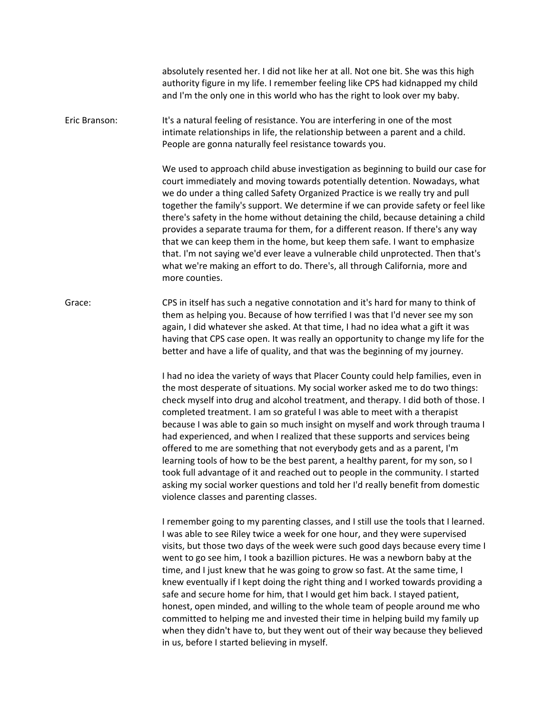absolutely resented her. I did not like her at all. Not one bit. She was this high authority figure in my life. I remember feeling like CPS had kidnapped my child and I'm the only one in this world who has the right to look over my baby.

Eric Branson: It's a natural feeling of resistance. You are interfering in one of the most intimate relationships in life, the relationship between a parent and a child. People are gonna naturally feel resistance towards you.

> We used to approach child abuse investigation as beginning to build our case for court immediately and moving towards potentially detention. Nowadays, what we do under a thing called Safety Organized Practice is we really try and pull together the family's support. We determine if we can provide safety or feel like there's safety in the home without detaining the child, because detaining a child provides a separate trauma for them, for a different reason. If there's any way that we can keep them in the home, but keep them safe. I want to emphasize that. I'm not saying we'd ever leave a vulnerable child unprotected. Then that's what we're making an effort to do. There's, all through California, more and more counties.

Grace: CPS in itself has such a negative connotation and it's hard for many to think of them as helping you. Because of how terrified I was that I'd never see my son again, I did whatever she asked. At that time, I had no idea what a gift it was having that CPS case open. It was really an opportunity to change my life for the better and have a life of quality, and that was the beginning of my journey.

> I had no idea the variety of ways that Placer County could help families, even in the most desperate of situations. My social worker asked me to do two things: check myself into drug and alcohol treatment, and therapy. I did both of those. I completed treatment. I am so grateful I was able to meet with a therapist because I was able to gain so much insight on myself and work through trauma I had experienced, and when I realized that these supports and services being offered to me are something that not everybody gets and as a parent, I'm learning tools of how to be the best parent, a healthy parent, for my son, so I took full advantage of it and reached out to people in the community. I started asking my social worker questions and told her I'd really benefit from domestic violence classes and parenting classes.

> I remember going to my parenting classes, and I still use the tools that I learned. I was able to see Riley twice a week for one hour, and they were supervised visits, but those two days of the week were such good days because every time I went to go see him, I took a bazillion pictures. He was a newborn baby at the time, and I just knew that he was going to grow so fast. At the same time, I knew eventually if I kept doing the right thing and I worked towards providing a safe and secure home for him, that I would get him back. I stayed patient, honest, open minded, and willing to the whole team of people around me who committed to helping me and invested their time in helping build my family up when they didn't have to, but they went out of their way because they believed in us, before I started believing in myself.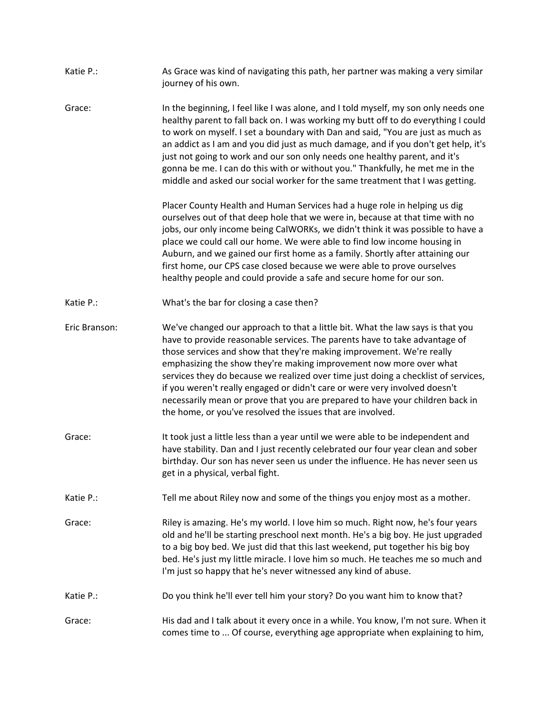| Katie P.:     | As Grace was kind of navigating this path, her partner was making a very similar<br>journey of his own.                                                                                                                                                                                                                                                                                                                                                                                                                                                                                                                        |
|---------------|--------------------------------------------------------------------------------------------------------------------------------------------------------------------------------------------------------------------------------------------------------------------------------------------------------------------------------------------------------------------------------------------------------------------------------------------------------------------------------------------------------------------------------------------------------------------------------------------------------------------------------|
| Grace:        | In the beginning, I feel like I was alone, and I told myself, my son only needs one<br>healthy parent to fall back on. I was working my butt off to do everything I could<br>to work on myself. I set a boundary with Dan and said, "You are just as much as<br>an addict as I am and you did just as much damage, and if you don't get help, it's<br>just not going to work and our son only needs one healthy parent, and it's<br>gonna be me. I can do this with or without you." Thankfully, he met me in the<br>middle and asked our social worker for the same treatment that I was getting.                             |
|               | Placer County Health and Human Services had a huge role in helping us dig<br>ourselves out of that deep hole that we were in, because at that time with no<br>jobs, our only income being CalWORKs, we didn't think it was possible to have a<br>place we could call our home. We were able to find low income housing in<br>Auburn, and we gained our first home as a family. Shortly after attaining our<br>first home, our CPS case closed because we were able to prove ourselves<br>healthy people and could provide a safe and secure home for our son.                                                                  |
| Katie P.:     | What's the bar for closing a case then?                                                                                                                                                                                                                                                                                                                                                                                                                                                                                                                                                                                        |
| Eric Branson: | We've changed our approach to that a little bit. What the law says is that you<br>have to provide reasonable services. The parents have to take advantage of<br>those services and show that they're making improvement. We're really<br>emphasizing the show they're making improvement now more over what<br>services they do because we realized over time just doing a checklist of services,<br>if you weren't really engaged or didn't care or were very involved doesn't<br>necessarily mean or prove that you are prepared to have your children back in<br>the home, or you've resolved the issues that are involved. |
| Grace:        | It took just a little less than a year until we were able to be independent and<br>have stability. Dan and I just recently celebrated our four year clean and sober<br>birthday. Our son has never seen us under the influence. He has never seen us<br>get in a physical, verbal fight.                                                                                                                                                                                                                                                                                                                                       |
| Katie P.:     | Tell me about Riley now and some of the things you enjoy most as a mother.                                                                                                                                                                                                                                                                                                                                                                                                                                                                                                                                                     |
| Grace:        | Riley is amazing. He's my world. I love him so much. Right now, he's four years<br>old and he'll be starting preschool next month. He's a big boy. He just upgraded<br>to a big boy bed. We just did that this last weekend, put together his big boy<br>bed. He's just my little miracle. I love him so much. He teaches me so much and<br>I'm just so happy that he's never witnessed any kind of abuse.                                                                                                                                                                                                                     |
| Katie P.:     | Do you think he'll ever tell him your story? Do you want him to know that?                                                                                                                                                                                                                                                                                                                                                                                                                                                                                                                                                     |
| Grace:        | His dad and I talk about it every once in a while. You know, I'm not sure. When it<br>comes time to  Of course, everything age appropriate when explaining to him,                                                                                                                                                                                                                                                                                                                                                                                                                                                             |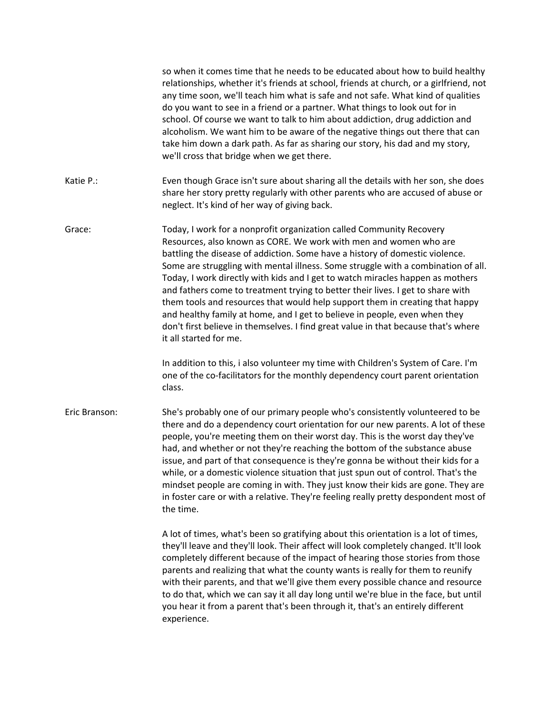|               | so when it comes time that he needs to be educated about how to build healthy<br>relationships, whether it's friends at school, friends at church, or a girlfriend, not<br>any time soon, we'll teach him what is safe and not safe. What kind of qualities<br>do you want to see in a friend or a partner. What things to look out for in<br>school. Of course we want to talk to him about addiction, drug addiction and<br>alcoholism. We want him to be aware of the negative things out there that can<br>take him down a dark path. As far as sharing our story, his dad and my story,<br>we'll cross that bridge when we get there.                                                                                                                        |
|---------------|-------------------------------------------------------------------------------------------------------------------------------------------------------------------------------------------------------------------------------------------------------------------------------------------------------------------------------------------------------------------------------------------------------------------------------------------------------------------------------------------------------------------------------------------------------------------------------------------------------------------------------------------------------------------------------------------------------------------------------------------------------------------|
| Katie P.:     | Even though Grace isn't sure about sharing all the details with her son, she does<br>share her story pretty regularly with other parents who are accused of abuse or<br>neglect. It's kind of her way of giving back.                                                                                                                                                                                                                                                                                                                                                                                                                                                                                                                                             |
| Grace:        | Today, I work for a nonprofit organization called Community Recovery<br>Resources, also known as CORE. We work with men and women who are<br>battling the disease of addiction. Some have a history of domestic violence.<br>Some are struggling with mental illness. Some struggle with a combination of all.<br>Today, I work directly with kids and I get to watch miracles happen as mothers<br>and fathers come to treatment trying to better their lives. I get to share with<br>them tools and resources that would help support them in creating that happy<br>and healthy family at home, and I get to believe in people, even when they<br>don't first believe in themselves. I find great value in that because that's where<br>it all started for me. |
|               | In addition to this, i also volunteer my time with Children's System of Care. I'm<br>one of the co-facilitators for the monthly dependency court parent orientation<br>class.                                                                                                                                                                                                                                                                                                                                                                                                                                                                                                                                                                                     |
| Eric Branson: | She's probably one of our primary people who's consistently volunteered to be<br>there and do a dependency court orientation for our new parents. A lot of these<br>people, you're meeting them on their worst day. This is the worst day they've<br>had, and whether or not they're reaching the bottom of the substance abuse<br>issue, and part of that consequence is they're gonna be without their kids for a<br>while, or a domestic violence situation that just spun out of control. That's the<br>mindset people are coming in with. They just know their kids are gone. They are<br>in foster care or with a relative. They're feeling really pretty despondent most of<br>the time.                                                                   |
|               | A lot of times, what's been so gratifying about this orientation is a lot of times,<br>they'll leave and they'll look. Their affect will look completely changed. It'll look<br>completely different because of the impact of hearing those stories from those<br>parents and realizing that what the county wants is really for them to reunify<br>with their parents, and that we'll give them every possible chance and resource<br>to do that, which we can say it all day long until we're blue in the face, but until<br>you hear it from a parent that's been through it, that's an entirely different<br>experience.                                                                                                                                      |